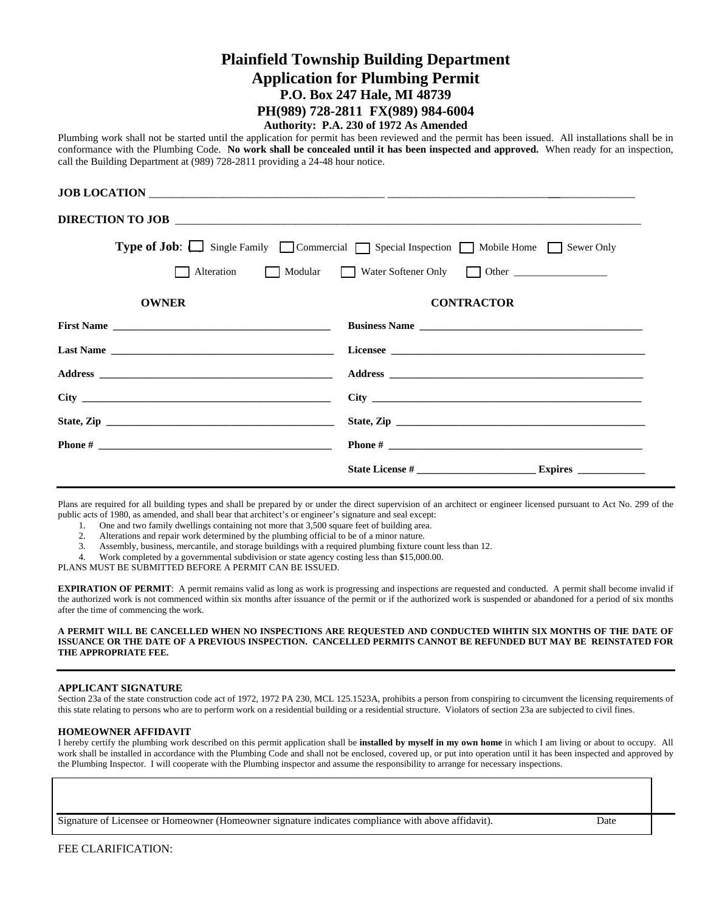# **Plainfield Township Building Department Application for Plumbing Permit P.O. Box 247 Hale, MI 48739 PH(989) 728-2811 FX(989) 984-6004**

## **Authority: P.A. 230 of 1972 As Amended**

Plumbing work shall not be started until the application for permit has been reviewed and the permit has been issued. All installations shall be in conformance with the Plumbing Code. **No work shall be concealed until it has been inspected and approved.** When ready for an inspection, call the Building Department at (989) 728-2811 providing a 24-48 hour notice.

|                                                                                  | JOB LOCATION                                                                           |  |  |  |  |
|----------------------------------------------------------------------------------|----------------------------------------------------------------------------------------|--|--|--|--|
|                                                                                  | DIRECTION TO JOB                                                                       |  |  |  |  |
|                                                                                  | <b>Type of Job:</b> Single Family Commercial Special Inspection Mobile Home Sewer Only |  |  |  |  |
| Alteration Modular Water Softener Only Other ___________________________________ |                                                                                        |  |  |  |  |
| <b>OWNER</b>                                                                     | <b>CONTRACTOR</b>                                                                      |  |  |  |  |
|                                                                                  |                                                                                        |  |  |  |  |
|                                                                                  |                                                                                        |  |  |  |  |
|                                                                                  |                                                                                        |  |  |  |  |
|                                                                                  |                                                                                        |  |  |  |  |
|                                                                                  |                                                                                        |  |  |  |  |
|                                                                                  |                                                                                        |  |  |  |  |
|                                                                                  |                                                                                        |  |  |  |  |

Plans are required for all building types and shall be prepared by or under the direct supervision of an architect or engineer licensed pursuant to Act No. 299 of the public acts of 1980, as amended, and shall bear that architect's or engineer's signature and seal except:

- 1. One and two family dwellings containing not more that 3,500 square feet of building area.
- 2. Alterations and repair work determined by the plumbing official to be of a minor nature.
- 3. Assembly, business, mercantile, and storage buildings with a required plumbing fixture count less than 12.
- 4. Work completed by a governmental subdivision or state agency costing less than \$15,000.00.

PLANS MUST BE SUBMITTED BEFORE A PERMIT CAN BE ISSUED.

**EXPIRATION OF PERMIT**: A permit remains valid as long as work is progressing and inspections are requested and conducted. A permit shall become invalid if the authorized work is not commenced within six months after issuance of the permit or if the authorized work is suspended or abandoned for a period of six months after the time of commencing the work.

#### **A PERMIT WILL BE CANCELLED WHEN NO INSPECTIONS ARE REQUESTED AND CONDUCTED WIHTIN SIX MONTHS OF THE DATE OF ISSUANCE OR THE DATE OF A PREVIOUS INSPECTION. CANCELLED PERMITS CANNOT BE REFUNDED BUT MAY BE REINSTATED FOR THE APPROPRIATE FEE.**

### **APPLICANT SIGNATURE**

Section 23a of the state construction code act of 1972, 1972 PA 230, MCL 125.1523A, prohibits a person from conspiring to circumvent the licensing requirements of this state relating to persons who are to perform work on a residential building or a residential structure. Violators of section 23a are subjected to civil fines.

### **HOMEOWNER AFFIDAVIT**

I hereby certify the plumbing work described on this permit application shall be **installed by myself in my own home** in which I am living or about to occupy. All work shall be installed in accordance with the Plumbing Code and shall not be enclosed, covered up, or put into operation until it has been inspected and approved by the Plumbing Inspector. I will cooperate with the Plumbing inspector and assume the responsibility to arrange for necessary inspections.

Signature of Licensee or Homeowner (Homeowner signature indicates compliance with above affidavit). Date